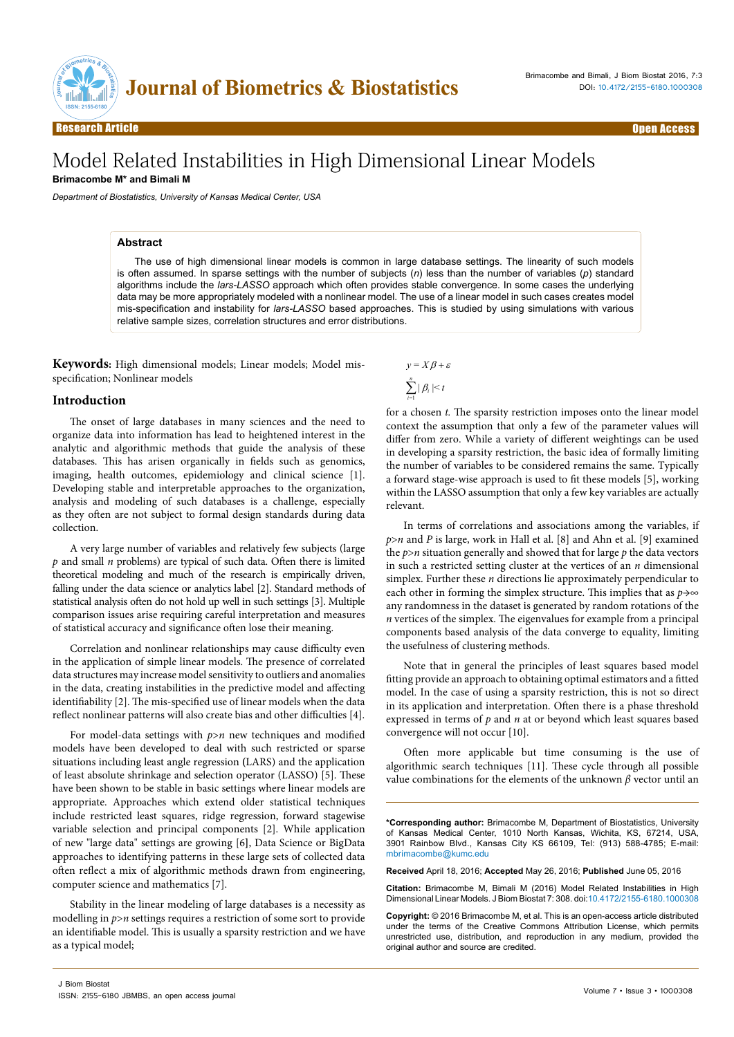

# Model Related Instabilities in High Dimensional Linear Models **Brimacombe M\* and Bimali M**

*Department of Biostatistics, University of Kansas Medical Center, USA*

## **Abstract**

The use of high dimensional linear models is common in large database settings. The linearity of such models is often assumed. In sparse settings with the number of subjects (*n*) less than the number of variables (*p*) standard algorithms include the *lars-LASSO* approach which often provides stable convergence. In some cases the underlying data may be more appropriately modeled with a nonlinear model. The use of a linear model in such cases creates model mis-specification and instability for *lars-LASSO* based approaches. This is studied by using simulations with various relative sample sizes, correlation structures and error distributions.

**Keywords:** High dimensional models; Linear models; Model misspecification; Nonlinear models

## **Introduction**

The onset of large databases in many sciences and the need to organize data into information has lead to heightened interest in the analytic and algorithmic methods that guide the analysis of these databases. This has arisen organically in fields such as genomics, imaging, health outcomes, epidemiology and clinical science [1]. Developing stable and interpretable approaches to the organization, analysis and modeling of such databases is a challenge, especially as they often are not subject to formal design standards during data collection.

A very large number of variables and relatively few subjects (large *p* and small *n* problems) are typical of such data. Often there is limited theoretical modeling and much of the research is empirically driven, falling under the data science or analytics label [2]. Standard methods of statistical analysis often do not hold up well in such settings [3]. Multiple comparison issues arise requiring careful interpretation and measures of statistical accuracy and significance often lose their meaning.

Correlation and nonlinear relationships may cause difficulty even in the application of simple linear models. The presence of correlated data structures may increase model sensitivity to outliers and anomalies in the data, creating instabilities in the predictive model and affecting identifiability [2]. The mis-specified use of linear models when the data reflect nonlinear patterns will also create bias and other difficulties [4].

For model-data settings with  $p>n$  new techniques and modified models have been developed to deal with such restricted or sparse situations including least angle regression **(**LARS) and the application of least absolute shrinkage and selection operator (LASSO) [5]. These have been shown to be stable in basic settings where linear models are appropriate. Approaches which extend older statistical techniques include restricted least squares, ridge regression, forward stagewise variable selection and principal components [2]. While application of new "large data" settings are growing [6**]**, Data Science or BigData approaches to identifying patterns in these large sets of collected data often reflect a mix of algorithmic methods drawn from engineering, computer science and mathematics [7].

Stability in the linear modeling of large databases is a necessity as modelling in  $p>n$  settings requires a restriction of some sort to provide an identifiable model. This is usually a sparsity restriction and we have as a typical model;

 $v = X\beta + \varepsilon$ =1  $\sum_{i=1}^{n} |\beta_i|$  $\sum |\beta_i|$   $\leq t$ *i*

for a chosen *t.* The sparsity restriction imposes onto the linear model context the assumption that only a few of the parameter values will differ from zero. While a variety of different weightings can be used in developing a sparsity restriction, the basic idea of formally limiting the number of variables to be considered remains the same. Typically a forward stage-wise approach is used to fit these models [5], working within the LASSO assumption that only a few key variables are actually relevant.

In terms of correlations and associations among the variables, if *p*>*n* and *P* is large, work in Hall et al. [8] and Ahn et al. [9] examined the  $p>n$  situation generally and showed that for large  $p$  the data vectors in such a restricted setting cluster at the vertices of an *n* dimensional simplex. Further these *n* directions lie approximately perpendicular to each other in forming the simplex structure. This implies that as *p→∞* any randomness in the dataset is generated by random rotations of the *n* vertices of the simplex. The eigenvalues for example from a principal components based analysis of the data converge to equality, limiting the usefulness of clustering methods.

Note that in general the principles of least squares based model fitting provide an approach to obtaining optimal estimators and a fitted model. In the case of using a sparsity restriction, this is not so direct in its application and interpretation. Often there is a phase threshold expressed in terms of *p* and *n* at or beyond which least squares based convergence will not occur [10].

Often more applicable but time consuming is the use of algorithmic search techniques [11]. These cycle through all possible value combinations for the elements of the unknown *β* vector until an

**\*Corresponding author:** Brimacombe M, Department of Biostatistics, University of Kansas Medical Center, 1010 North Kansas, Wichita, KS, 67214, USA, 3901 Rainbow Blvd., Kansas City KS 66109, Tel: (913) 588-4785; E-mail: mbrimacombe@kumc.edu

**Received** April 18, 2016; **Accepted** May 26, 2016; **Published** June 05, 2016

**Citation:** Brimacombe M, Bimali M (2016) Model Related Instabilities in High Dimensional Linear Models. J Biom Biostat 7: 308. doi:10.4172/2155-6180.1000308

**Copyright:** © 2016 Brimacombe M, et al. This is an open-access article distributed under the terms of the Creative Commons Attribution License, which permits unrestricted use, distribution, and reproduction in any medium, provided the original author and source are credited.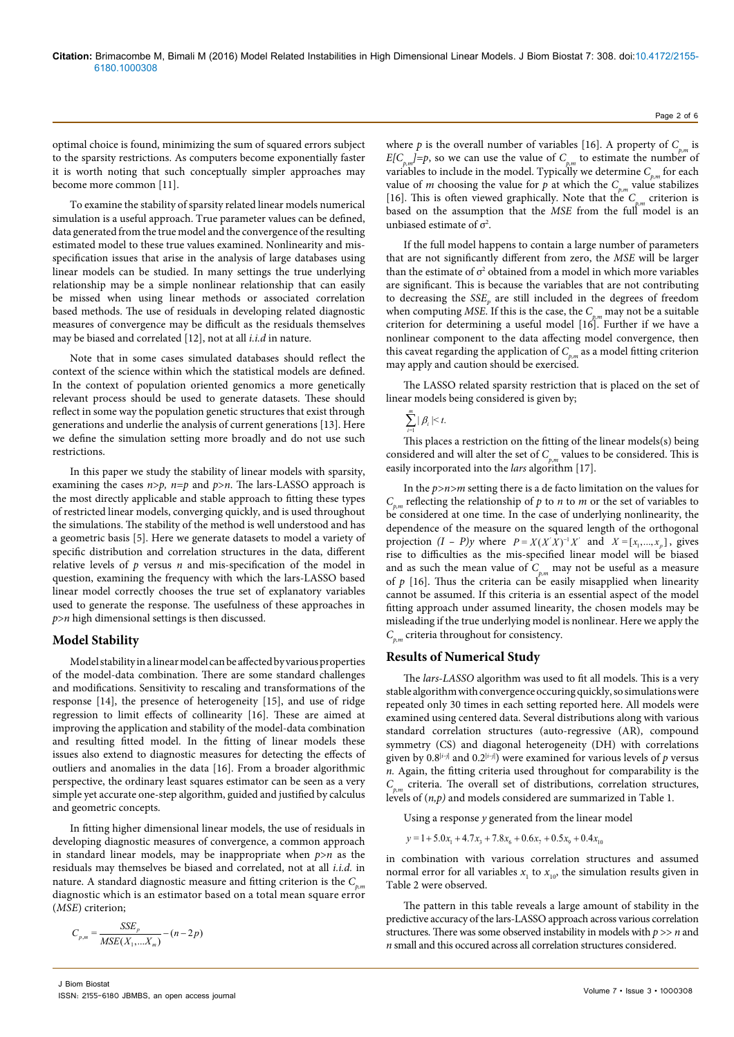optimal choice is found, minimizing the sum of squared errors subject to the sparsity restrictions. As computers become exponentially faster it is worth noting that such conceptually simpler approaches may become more common [11].

To examine the stability of sparsity related linear models numerical simulation is a useful approach. True parameter values can be defined, data generated from the true model and the convergence of the resulting estimated model to these true values examined. Nonlinearity and misspecification issues that arise in the analysis of large databases using linear models can be studied. In many settings the true underlying relationship may be a simple nonlinear relationship that can easily be missed when using linear methods or associated correlation based methods. The use of residuals in developing related diagnostic measures of convergence may be difficult as the residuals themselves may be biased and correlated [12], not at all *i.i.d* in nature.

Note that in some cases simulated databases should reflect the context of the science within which the statistical models are defined. In the context of population oriented genomics a more genetically relevant process should be used to generate datasets. These should reflect in some way the population genetic structures that exist through generations and underlie the analysis of current generations [13]. Here we define the simulation setting more broadly and do not use such restrictions.

In this paper we study the stability of linear models with sparsity, examining the cases *n*>*p, n=p* and *p*>*n*. The lars-LASSO approach is the most directly applicable and stable approach to fitting these types of restricted linear models, converging quickly, and is used throughout the simulations. The stability of the method is well understood and has a geometric basis [5]. Here we generate datasets to model a variety of specific distribution and correlation structures in the data, different relative levels of *p* versus *n* and mis-specification of the model in question, examining the frequency with which the lars-LASSO based linear model correctly chooses the true set of explanatory variables used to generate the response. The usefulness of these approaches in *p*>*n* high dimensional settings is then discussed.

## **Model Stability**

Model stability in a linear model can be affected by various properties of the model-data combination. There are some standard challenges and modifications. Sensitivity to rescaling and transformations of the response [14], the presence of heterogeneity [15], and use of ridge regression to limit effects of collinearity [16]. These are aimed at improving the application and stability of the model-data combination and resulting fitted model. In the fitting of linear models these issues also extend to diagnostic measures for detecting the effects of outliers and anomalies in the data [16]. From a broader algorithmic perspective, the ordinary least squares estimator can be seen as a very simple yet accurate one-step algorithm, guided and justified by calculus and geometric concepts.

In fitting higher dimensional linear models, the use of residuals in developing diagnostic measures of convergence, a common approach in standard linear models, may be inappropriate when *p*>*n* as the residuals may themselves be biased and correlated, not at all *i.i.d.* in nature. A standard diagnostic measure and fitting criterion is the C<sub>p,m</sub> diagnostic which is an estimator based on a total mean square error (*MSE*) criterion;

$$
C_{p,m} = \frac{SSE_p}{MSE(X_1, \dots, X_m)} - (n - 2p)
$$

where *p* is the overall number of variables [16]. A property of  $C_{p,m}$  is *E[C<sub>p,m</sub>]=p*, so we can use the value of  $C_{p,m}$  to estimate the number of variables to include in the model. Typically we determine  $C_{p,m}$  for each value of *m* choosing the value for  $p$  at which the  $C_{p,m}$  value stabilizes [16]. This is often viewed graphically. Note that the  $C_{p,m}$  criterion is based on the assumption that the *MSE* from the full model is an unbiased estimate of  $\sigma^2$ .

If the full model happens to contain a large number of parameters that are not significantly different from zero, the *MSE* will be larger than the estimate of  $\sigma^2$  obtained from a model in which more variables are significant. This is because the variables that are not contributing to decreasing the  $SSE<sub>p</sub>$  are still included in the degrees of freedom when computing *MSE*. If this is the case, the  $C_{p,m}$  may not be a suitable criterion for determining a useful model [16]. Further if we have a nonlinear component to the data affecting model convergence, then this caveat regarding the application of  $C_{p,m}$  as a model fitting criterion may apply and caution should be exercised.

The LASSO related sparsity restriction that is placed on the set of linear models being considered is given by;

$$
\sum_{i=1}^m | \beta_i | \leq t.
$$

This places a restriction on the fitting of the linear models(s) being considered and will alter the set of *C<sub>p,m</sub>* values to be considered. This is easily incorporated into the *lars* algorithm [17].

In the *p>n>m* setting there is a de facto limitation on the values for  $C_{p,m}$  reflecting the relationship of p to n to m or the set of variables to be considered at one time. In the case of underlying nonlinearity, the dependence of the measure on the squared length of the orthogonal projection  $(I - P)y$  where  $P = X(X'X)^{-1}X'$  and  $X = [x_1, ..., x_n]$ , gives rise to difficulties as the mis-specified linear model will be biased and as such the mean value of  $C_{p,m}$  may not be useful as a measure of  $p$  [16]. Thus the criteria can be easily misapplied when linearity cannot be assumed. If this criteria is an essential aspect of the model fitting approach under assumed linearity, the chosen models may be misleading if the true underlying model is nonlinear. Here we apply the *C<sub>p,m</sub>* criteria throughout for consistency.

## **Results of Numerical Study**

The *lars-LASSO* algorithm was used to fit all models. This is a very stable algorithm with convergence occuring quickly, so simulations were repeated only 30 times in each setting reported here. All models were examined using centered data. Several distributions along with various standard correlation structures (auto-regressive (AR), compound symmetry (CS) and diagonal heterogeneity (DH) with correlations given by  $0.8^{|i-j|}$  and  $0.2^{|i-j|}$ ) were examined for various levels of  $p$  versus *n.* Again, the fitting criteria used throughout for comparability is the *Cp,m* criteria. The overall set of distributions, correlation structures, levels of (*n,p)* and models considered are summarized in Table 1.

Using a response *y* generated from the linear model

 $y = 1 + 5.0 x_1 + 4.7 x_2 + 7.8 x_6 + 0.6 x_7 + 0.5 x_9 + 0.4 x_{10}$ 

in combination with various correlation structures and assumed normal error for all variables  $x_1$  to  $x_{10}$ , the simulation results given in Table 2 were observed.

The pattern in this table reveals a large amount of stability in the predictive accuracy of the lars-LASSO approach across various correlation structures. There was some observed instability in models with *p* >> *n* and *n* small and this occured across all correlation structures considered.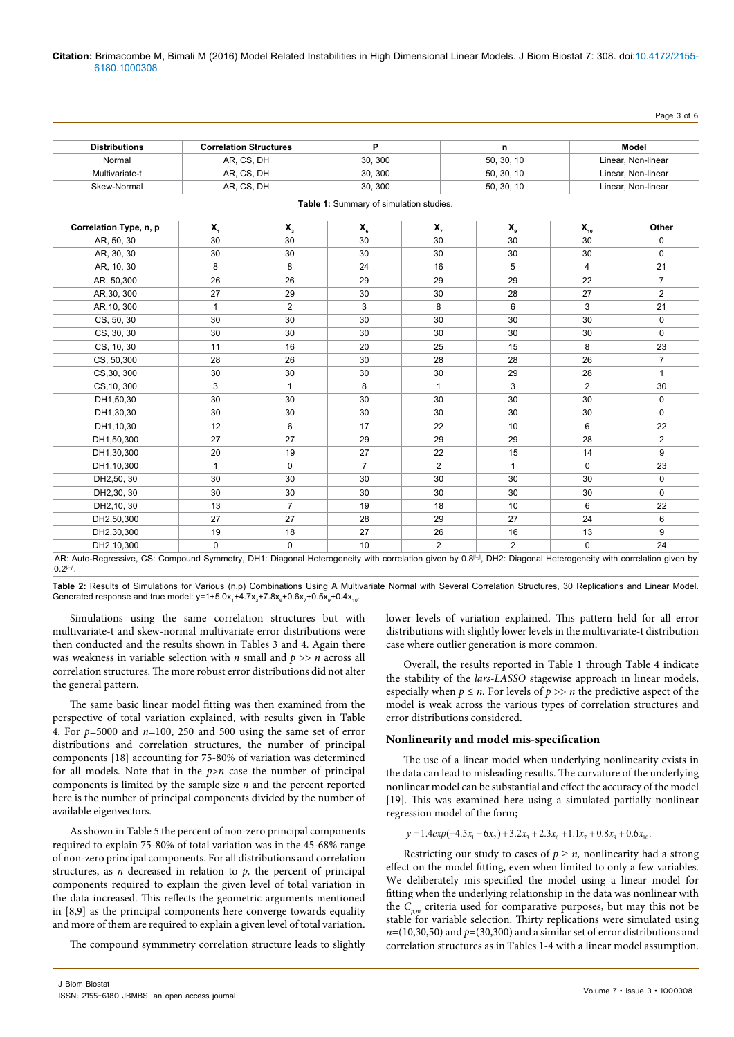Page 3 of 6

| <b>Distributions</b> | <b>Correlation Structures</b> |         |            | Model              |
|----------------------|-------------------------------|---------|------------|--------------------|
| Normal               | AR. CS. DH                    | 30.300  | 50, 30, 10 | Linear, Non-linear |
| Multivariate-t       | AR. CS. DH                    | 30.300  | 50.30.10   | Linear, Non-linear |
| Skew-Normal          | AR, CS, DH                    | 30, 300 | 50, 30, 10 | Linear, Non-linear |

**Table 1:** Summary of simulation studies.

| Correlation Type, n, p | X,           | $X_{3}$        | $X_{6}$        | $X_{7}$        | X,             | $X_{10}$       | Other                   |
|------------------------|--------------|----------------|----------------|----------------|----------------|----------------|-------------------------|
| AR, 50, 30             | 30           | 30             | 30             | 30             | 30             | 30             | 0                       |
| AR, 30, 30             | 30           | 30             | 30             | 30             | 30             | 30             | $\mathbf 0$             |
| AR, 10, 30             | 8            | 8              | 24             | 16             | 5              | 4              | 21                      |
| AR, 50,300             | 26           | 26             | 29             | 29             | 29             | 22             | $\overline{7}$          |
| AR, 30, 300            | 27           | 29             | 30             | 30             | 28             | 27             | $\boldsymbol{2}$        |
| AR, 10, 300            | $\mathbf{1}$ | 2              | 3              | 8              | 6              | 3              | 21                      |
| CS, 50, 30             | 30           | 30             | 30             | 30             | 30             | 30             | 0                       |
| CS, 30, 30             | 30           | 30             | 30             | 30             | 30             | 30             | $\mathbf 0$             |
| CS, 10, 30             | 11           | 16             | 20             | 25             | 15             | 8              | 23                      |
| CS, 50,300             | 28           | 26             | 30             | 28             | 28             | 26             | $\overline{7}$          |
| CS, 30, 300            | 30           | 30             | 30             | 30             | 29             | 28             | $\mathbf{1}$            |
| CS, 10, 300            | 3            | 1              | 8              | $\mathbf{1}$   | 3              | $\overline{2}$ | 30                      |
| DH1,50,30              | 30           | 30             | 30             | 30             | 30             | 30             | 0                       |
| DH1,30,30              | 30           | 30             | 30             | 30             | 30             | 30             | $\mathbf 0$             |
| DH1,10,30              | 12           | 6              | 17             | 22             | 10             | 6              | 22                      |
| DH1,50,300             | 27           | 27             | 29             | 29             | 29             | 28             | $\overline{\mathbf{c}}$ |
| DH1,30,300             | 20           | 19             | 27             | 22             | 15             | 14             | 9                       |
| DH1,10,300             | $\mathbf{1}$ | $\mathbf 0$    | $\overline{7}$ | $\overline{2}$ | $\mathbf{1}$   | $\mathbf 0$    | 23                      |
| DH2,50, 30             | 30           | 30             | 30             | 30             | 30             | 30             | $\mathbf 0$             |
| DH2,30, 30             | 30           | 30             | 30             | 30             | 30             | 30             | 0                       |
| DH2,10, 30             | 13           | $\overline{7}$ | 19             | 18             | 10             | 6              | 22                      |
| DH2,50,300             | 27           | 27             | 28             | 29             | 27             | 24             | 6                       |
| DH2,30,300             | 19           | 18             | 27             | 26             | 16             | 13             | 9                       |
| DH2,10,300             | $\mathbf 0$  | 0              | 10             | $\overline{2}$ | $\overline{2}$ | $\mathbf 0$    | 24                      |

Table 2: Results of Simulations for Various (n,p) Combinations Using A Multivariate Normal with Several Correlation Structures, 30 Replications and Linear Model.

Generated response and true model: y=1+5.0x<sub>1</sub>+4.7x<sub>3</sub>+7.8x<sub>6</sub>+0.6x<sub>7</sub>+0.5x<sub>9</sub>+0.4x<sub>10</sub>.

Simulations using the same correlation structures but with multivariate-t and skew-normal multivariate error distributions were then conducted and the results shown in Tables 3 and 4. Again there was weakness in variable selection with *n* small and *p* >> *n* across all correlation structures. The more robust error distributions did not alter the general pattern.

The same basic linear model fitting was then examined from the perspective of total variation explained, with results given in Table 4. For *p=*5000 and *n=*100, 250 and 500 using the same set of error distributions and correlation structures, the number of principal components [18] accounting for 75-80% of variation was determined for all models. Note that in the *p*>*n* case the number of principal components is limited by the sample size *n* and the percent reported here is the number of principal components divided by the number of available eigenvectors.

As shown in Table 5 the percent of non-zero principal components required to explain 75-80% of total variation was in the 45-68% range of non-zero principal components. For all distributions and correlation structures, as *n* decreased in relation to *p,* the percent of principal components required to explain the given level of total variation in the data increased. This reflects the geometric arguments mentioned in [8,9] as the principal components here converge towards equality and more of them are required to explain a given level of total variation.

The compound symmmetry correlation structure leads to slightly

lower levels of variation explained. This pattern held for all error distributions with slightly lower levels in the multivariate-t distribution case where outlier generation is more common.

Overall, the results reported in Table 1 through Table 4 indicate the stability of the *lars-LASSO* stagewise approach in linear models, especially when  $p \le n$ . For levels of  $p \gg n$  the predictive aspect of the model is weak across the various types of correlation structures and error distributions considered.

## **Nonlinearity and model mis-specification**

The use of a linear model when underlying nonlinearity exists in the data can lead to misleading results. The curvature of the underlying nonlinear model can be substantial and effect the accuracy of the model [19]. This was examined here using a simulated partially nonlinear regression model of the form;

$$
y = 1.4 \exp(-4.5x_1 - 6x_2) + 3.2x_3 + 2.3x_6 + 1.1x_7 + 0.8x_9 + 0.6x_{10}.
$$

Restricting our study to cases of  $p \geq n$ , nonlinearity had a strong effect on the model fitting, even when limited to only a few variables. We deliberately mis-specified the model using a linear model for fitting when the underlying relationship in the data was nonlinear with the  $C_{p,m}$  criteria used for comparative purposes, but may this not be stable for variable selection. Thirty replications were simulated using *n=*(10,30,50) and *p*=(30,300) and a similar set of error distributions and correlation structures as in Tables 1-4 with a linear model assumption.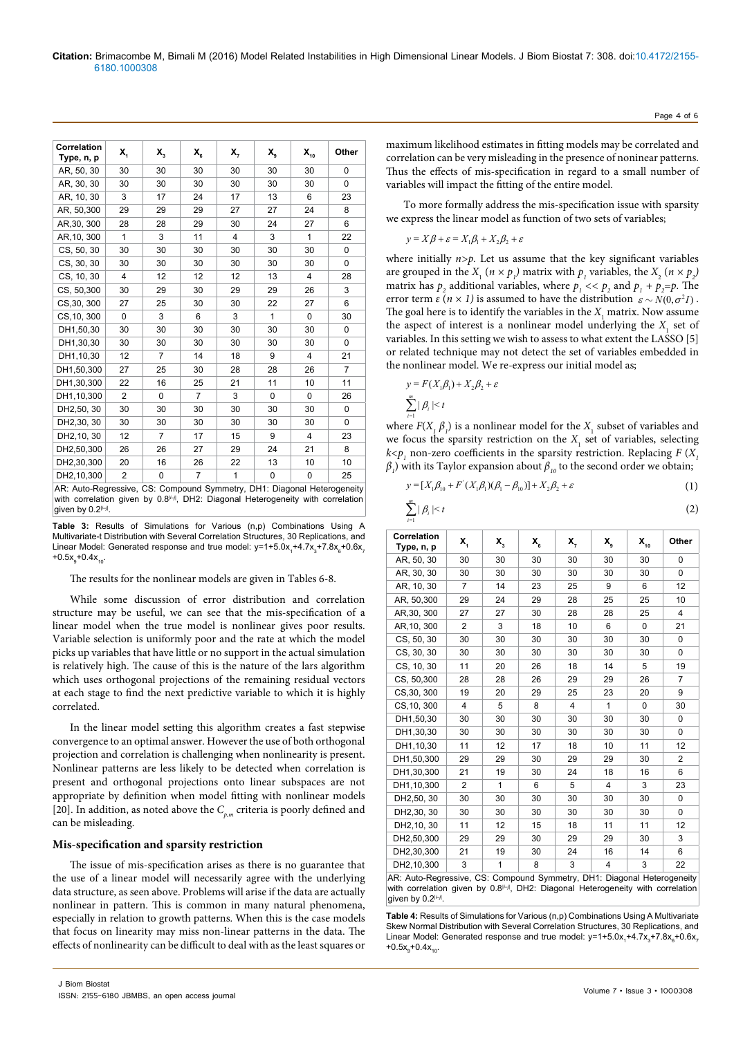| Correlation<br>Type, n, p | X,             | $\mathsf{X}_3$ | $X_{6}$        | x, | X, | $\mathsf{X}_{\scriptscriptstyle{10}}$ | Other          |
|---------------------------|----------------|----------------|----------------|----|----|---------------------------------------|----------------|
| AR, 50, 30                | 30             | 30             | 30             | 30 | 30 | 30                                    | 0              |
| AR, 30, 30                | 30             | 30             | 30             | 30 | 30 | 30                                    | $\Omega$       |
| AR, 10, 30                | 3              | 17             | 24             | 17 | 13 | 6                                     | 23             |
| AR, 50,300                | 29             | 29             | 29             | 27 | 27 | 24                                    | 8              |
| AR, 30, 300               | 28             | 28             | 29             | 30 | 24 | 27                                    | 6              |
| AR, 10, 300               | 1              | 3              | 11             | 4  | 3  | 1                                     | 22             |
| CS, 50, 30                | 30             | 30             | 30             | 30 | 30 | 30                                    | 0              |
| CS, 30, 30                | 30             | 30             | 30             | 30 | 30 | 30                                    | 0              |
| CS, 10, 30                | 4              | 12             | 12             | 12 | 13 | $\overline{4}$                        | 28             |
| CS, 50,300                | 30             | 29             | 30             | 29 | 29 | 26                                    | 3              |
| CS, 30, 300               | 27             | 25             | 30             | 30 | 22 | 27                                    | 6              |
| CS, 10, 300               | 0              | 3              | 6              | 3  | 1  | 0                                     | 30             |
| DH1,50,30                 | 30             | 30             | 30             | 30 | 30 | 30                                    | 0              |
| DH1,30,30                 | 30             | 30             | 30             | 30 | 30 | 30                                    | 0              |
| DH1,10,30                 | 12             | $\overline{7}$ | 14             | 18 | 9  | $\overline{4}$                        | 21             |
| DH1,50,300                | 27             | 25             | 30             | 28 | 28 | 26                                    | $\overline{7}$ |
| DH1,30,300                | 22             | 16             | 25             | 21 | 11 | 10                                    | 11             |
| DH1,10,300                | $\overline{2}$ | 0              | $\overline{7}$ | 3  | 0  | 0                                     | 26             |
| DH2,50, 30                | 30             | 30             | 30             | 30 | 30 | 30                                    | 0              |
| DH2,30, 30                | 30             | 30             | 30             | 30 | 30 | 30                                    | 0              |
| DH2,10, 30                | 12             | $\overline{7}$ | 17             | 15 | 9  | 4                                     | 23             |
| DH2,50,300                | 26             | 26             | 27             | 29 | 24 | 21                                    | 8              |
| DH2,30,300                | 20             | 16             | 26             | 22 | 13 | 10                                    | 10             |
| DH2,10,300                | $\overline{2}$ | 0              | $\overline{7}$ | 1  | 0  | 0                                     | 25             |

Auto-Regressive, CS: Compound Symmetry, DH1: Diagonal Heterogeneity with correlation given by 0.8|*i–j*<sup>|</sup> , DH2: Diagonal Heterogeneity with correlation given by 0.2|*i–j*<sup>|</sup> .

**Table 3:** Results of Simulations for Various (n,p) Combinations Using A Multivariate-t Distribution with Several Correlation Structures, 30 Replications, and Linear Model: Generated response and true model: y=1+5.0x<sub>1</sub>+4.7x<sub>3</sub>+7.8x<sub>6</sub>+0.6x<sub>7</sub> +0.5 $x_{9}$ +0.4 $x_{10}$ .

#### The results for the nonlinear models are given in Tables 6-8.

While some discussion of error distribution and correlation structure may be useful, we can see that the mis-specification of a linear model when the true model is nonlinear gives poor results. Variable selection is uniformly poor and the rate at which the model picks up variables that have little or no support in the actual simulation is relatively high. The cause of this is the nature of the lars algorithm which uses orthogonal projections of the remaining residual vectors at each stage to find the next predictive variable to which it is highly correlated.

In the linear model setting this algorithm creates a fast stepwise convergence to an optimal answer. However the use of both orthogonal projection and correlation is challenging when nonlinearity is present. Nonlinear patterns are less likely to be detected when correlation is present and orthogonal projections onto linear subspaces are not appropriate by definition when model fitting with nonlinear models [20]. In addition, as noted above the  $C_{p,m}$  criteria is poorly defined and can be misleading.

### **Mis-specification and sparsity restriction**

The issue of mis-specification arises as there is no guarantee that the use of a linear model will necessarily agree with the underlying data structure, as seen above. Problems will arise if the data are actually nonlinear in pattern. This is common in many natural phenomena, especially in relation to growth patterns. When this is the case models that focus on linearity may miss non-linear patterns in the data. The effects of nonlinearity can be difficult to deal with as the least squares or

maximum likelihood estimates in fitting models may be correlated and correlation can be very misleading in the presence of noninear patterns. Thus the effects of mis-specification in regard to a small number of variables will impact the fitting of the entire model.

Page 4 of 6

To more formally address the mis-specification issue with sparsity we express the linear model as function of two sets of variables;

$$
y = X\beta + \varepsilon = X_1\beta_1 + X_2\beta_2 + \varepsilon
$$

where initially  $n > p$ . Let us assume that the key significant variables are grouped in the  $X_1$  ( $n \times p_1$ ) matrix with  $p_1$  variables, the  $X_2$  ( $n \times p_2$ ) matrix has  $p_2$  additional variables, where  $p_1 \ll p_2$  and  $p_1 + p_2 = p$ . The error term  $\varepsilon$  ( $n \times 1$ ) is assumed to have the distribution  $\varepsilon \sim N(0, \sigma^2 I)$ . The goal here is to identify the variables in the  $X_1$  matrix. Now assume the aspect of interest is a nonlinear model underlying the  $X_1$  set of variables. In this setting we wish to assess to what extent the LASSO [5] or related technique may not detect the set of variables embedded in the nonlinear model. We re-express our initial model as;

$$
y = F(X_1\beta_1) + X_2\beta_2 + \varepsilon
$$
  

$$
\sum_{i=1}^{m} |\beta_i| < t
$$

where  $F(X_1 \beta_1)$  is a nonlinear model for the  $X_1$  subset of variables and we focus the sparsity restriction on the  $X<sub>1</sub>$  set of variables, selecting  $k < p_1$  non-zero coefficients in the sparsity restriction. Replacing *F* (*X<sub>1</sub>*)  $\beta$ <sub>1</sub>) with its Taylor expansion about  $\beta$ <sub>10</sub> to the second order we obtain;

$$
y = [X_1 \beta_{10} + F'(X_1 \beta_1)(\beta_1 - \beta_{10})] + X_2 \beta_2 + \varepsilon
$$
\n(1)

$$
\sum_{i=1}^{m} |\beta_i| < t \tag{2}
$$

| Correlation<br>Type, n, p                                                                                                                                       | x,             | X, | $X_{6}$ | x, | X,             | $X_{10}$ | Other          |  |  |
|-----------------------------------------------------------------------------------------------------------------------------------------------------------------|----------------|----|---------|----|----------------|----------|----------------|--|--|
| AR, 50, 30                                                                                                                                                      | 30             | 30 | 30      | 30 | 30             | 30       | 0              |  |  |
| AR, 30, 30                                                                                                                                                      | 30             | 30 | 30      | 30 | 30             | 30       | 0              |  |  |
| AR, 10, 30                                                                                                                                                      | 7              | 14 | 23      | 25 | 9              | 6        | 12             |  |  |
| AR, 50,300                                                                                                                                                      | 29             | 24 | 29      | 28 | 25             | 25       | 10             |  |  |
| AR, 30, 300                                                                                                                                                     | 27             | 27 | 30      | 28 | 28             | 25       | $\overline{4}$ |  |  |
| AR, 10, 300                                                                                                                                                     | $\overline{2}$ | 3  | 18      | 10 | 6              | 0        | 21             |  |  |
| CS, 50, 30                                                                                                                                                      | 30             | 30 | 30      | 30 | 30             | 30       | 0              |  |  |
| CS, 30, 30                                                                                                                                                      | 30             | 30 | 30      | 30 | 30             | 30       | 0              |  |  |
| CS, 10, 30                                                                                                                                                      | 11             | 20 | 26      | 18 | 14             | 5        | 19             |  |  |
| CS, 50,300                                                                                                                                                      | 28             | 28 | 26      | 29 | 29             | 26       | 7              |  |  |
| CS, 30, 300                                                                                                                                                     | 19             | 20 | 29      | 25 | 23             | 20       | 9              |  |  |
| CS, 10, 300                                                                                                                                                     | 4              | 5  | 8       | 4  | $\mathbf{1}$   | 0        | 30             |  |  |
| DH1,50,30                                                                                                                                                       | 30             | 30 | 30      | 30 | 30             | 30       | 0              |  |  |
| DH1,30,30                                                                                                                                                       | 30             | 30 | 30      | 30 | 30             | 30       | 0              |  |  |
| DH1.10.30                                                                                                                                                       | 11             | 12 | 17      | 18 | 10             | 11       | 12             |  |  |
| DH1,50,300                                                                                                                                                      | 29             | 29 | 30      | 29 | 29             | 30       | $\overline{2}$ |  |  |
| DH1,30,300                                                                                                                                                      | 21             | 19 | 30      | 24 | 18             | 16       | 6              |  |  |
| DH1,10,300                                                                                                                                                      | $\overline{2}$ | 1  | 6       | 5  | $\overline{4}$ | 3        | 23             |  |  |
| DH2,50, 30                                                                                                                                                      | 30             | 30 | 30      | 30 | 30             | 30       | 0              |  |  |
| DH2,30, 30                                                                                                                                                      | 30             | 30 | 30      | 30 | 30             | 30       | 0              |  |  |
| DH2, 10, 30                                                                                                                                                     | 11             | 12 | 15      | 18 | 11             | 11       | 12             |  |  |
| DH2,50,300                                                                                                                                                      | 29             | 29 | 30      | 29 | 29             | 30       | 3              |  |  |
| DH2,30,300                                                                                                                                                      | 21             | 19 | 30      | 24 | 16             | 14       | 6              |  |  |
| DH2,10,300                                                                                                                                                      | 3              | 1  | 8       | 3  | $\overline{4}$ | 3        | 22             |  |  |
| AR: Auto-Regressive, CS: Compound Symmetry, DH1: Diagonal Heterogeneity<br>with correlation given by $0.8^{\mu}$ , DH2: Diagonal Heterogeneity with correlation |                |    |         |    |                |          |                |  |  |

given by 0.2|*i–j*<sup>|</sup> . **Table 4:** Results of Simulations for Various (n,p) Combinations Using A Multivariate Skew Normal Distribution with Several Correlation Structures, 30 Replications, and Linear Model: Generated response and true model:  $y=1+5.0x_1+4.7x_3+7.8x_6+0.6x_7$ 

+0.5 $x_{9}$ +0.4 $x_{10}$ .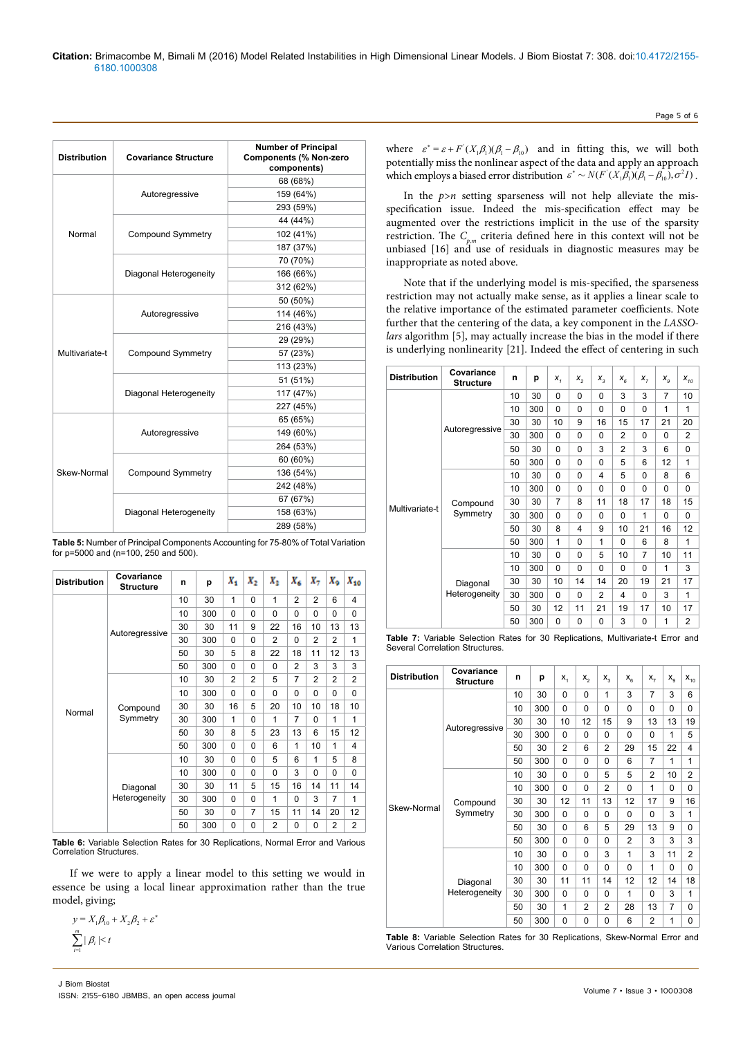| <b>Distribution</b> | <b>Covariance Structure</b> | <b>Number of Principal</b><br>Components (% Non-zero<br>components) |  |  |  |  |
|---------------------|-----------------------------|---------------------------------------------------------------------|--|--|--|--|
|                     |                             | 68 (68%)                                                            |  |  |  |  |
|                     | Autoregressive              | 159 (64%)                                                           |  |  |  |  |
|                     |                             | 293 (59%)                                                           |  |  |  |  |
|                     |                             | 44 (44%)                                                            |  |  |  |  |
| Normal              | <b>Compound Symmetry</b>    | 102 (41%)                                                           |  |  |  |  |
|                     |                             | 187 (37%)                                                           |  |  |  |  |
|                     |                             | 70 (70%)                                                            |  |  |  |  |
|                     | Diagonal Heterogeneity      | 166 (66%)                                                           |  |  |  |  |
|                     |                             | 312 (62%)                                                           |  |  |  |  |
|                     |                             | 50 (50%)                                                            |  |  |  |  |
|                     | Autoregressive              | 114 (46%)                                                           |  |  |  |  |
|                     |                             | 216 (43%)                                                           |  |  |  |  |
|                     |                             | 29 (29%)                                                            |  |  |  |  |
| Multivariate-t      | <b>Compound Symmetry</b>    | 57 (23%)                                                            |  |  |  |  |
|                     |                             | 113 (23%)                                                           |  |  |  |  |
|                     |                             | 51 (51%)                                                            |  |  |  |  |
|                     | Diagonal Heterogeneity      | 117 (47%)                                                           |  |  |  |  |
|                     |                             | 227 (45%)                                                           |  |  |  |  |
|                     |                             | 65 (65%)                                                            |  |  |  |  |
|                     | Autoregressive              | 149 (60%)                                                           |  |  |  |  |
|                     |                             | 264 (53%)                                                           |  |  |  |  |
|                     |                             | 60 (60%)                                                            |  |  |  |  |
| Skew-Normal         | <b>Compound Symmetry</b>    | 136 (54%)                                                           |  |  |  |  |
|                     |                             | 242 (48%)                                                           |  |  |  |  |
|                     |                             | 67 (67%)                                                            |  |  |  |  |
|                     | Diagonal Heterogeneity      | 158 (63%)                                                           |  |  |  |  |
|                     |                             | 289 (58%)                                                           |  |  |  |  |

| <b>Table 5:</b> Number of Principal Components Accounting for 75-80% of Total Variation |
|-----------------------------------------------------------------------------------------|
| for $p=5000$ and ( $n=100$ , 250 and 500).                                              |

| <b>Distribution</b> | Covariance<br><b>Structure</b> | n  | p   | $X_1$          | х,             | $X_{2}$        | $X_6$          | Х.,            | $X_{\odot}$    | $X_{10}$       |
|---------------------|--------------------------------|----|-----|----------------|----------------|----------------|----------------|----------------|----------------|----------------|
|                     |                                | 10 | 30  | 1              | 0              | 1              | $\overline{2}$ | $\overline{2}$ | 6              | 4              |
|                     |                                | 10 | 300 | 0              | 0              | $\Omega$       | 0              | 0              | 0              | 0              |
|                     |                                | 30 | 30  | 11             | 9              | 22             | 16             | 10             | 13             | 13             |
|                     | Autoregressive                 | 30 | 300 | $\Omega$       | 0              | $\overline{2}$ | 0              | $\overline{2}$ | $\overline{2}$ | 1              |
|                     |                                | 50 | 30  | 5              | 8              | 22             | 18             | 11             | 12             | 13             |
|                     |                                | 50 | 300 | $\Omega$       | 0              | $\Omega$       | $\overline{2}$ | 3              | 3              | 3              |
|                     | Compound<br>Symmetry           | 10 | 30  | $\overline{2}$ | $\overline{2}$ | 5              | 7              | $\overline{2}$ | $\overline{2}$ | $\overline{2}$ |
|                     |                                | 10 | 300 | 0              | 0              | $\mathbf 0$    | 0              | 0              | 0              | 0              |
| Normal              |                                | 30 | 30  | 16             | 5              | 20             | 10             | 10             | 18             | 10             |
|                     |                                | 30 | 300 | 1              | 0              | 1              | 7              | 0              | 1              | 1              |
|                     |                                | 50 | 30  | 8              | 5              | 23             | 13             | 6              | 15             | 12             |
|                     |                                | 50 | 300 | $\mathbf 0$    | 0              | 6              | 1              | 10             | 1              | 4              |
|                     |                                | 10 | 30  | 0              | 0              | 5              | 6              | 1              | 5              | 8              |
|                     |                                | 10 | 300 | 0              | 0              | 0              | 3              | 0              | 0              | 0              |
|                     | Diagonal                       | 30 | 30  | 11             | 5              | 15             | 16             | 14             | 11             | 14             |
|                     | Heterogeneity                  | 30 | 300 | 0              | 0              | 1              | 0              | 3              | 7              | 1              |
|                     |                                | 50 | 30  | 0              | $\overline{7}$ | 15             | 11             | 14             | 20             | 12             |
|                     |                                | 50 | 300 | 0              | 0              | $\overline{2}$ | 0              | 0              | $\overline{2}$ | $\overline{2}$ |

**Table 6:** Variable Selection Rates for 30 Replications, Normal Error and Various Correlation Structures.

If we were to apply a linear model to this setting we would in essence be using a local linear approximation rather than the true model, giving;

$$
y = X_1 \beta_{10} + X_2 \beta_2 + \varepsilon^*
$$

$$
\sum_{i=1}^m |\beta_i| < t
$$

J Biom Biostat ISSN: 2155-6180 JBMBS, an open access journal Page 5 of 6

where  $\varepsilon^* = \varepsilon + F'(X_1 \beta_1)(\beta_1 - \beta_1)$  and in fitting this, we will both potentially miss the nonlinear aspect of the data and apply an approach which employs a biased error distribution  $\varepsilon^* \sim N(F'(X_1 \beta_1)(\beta_1 - \beta_{10}), \sigma^2 I)$ .

In the  $p>n$  setting sparseness will not help alleviate the misspecification issue. Indeed the mis-specification effect may be augmented over the restrictions implicit in the use of the sparsity restriction. The  $C_{p,m}$  criteria defined here in this context will not be unbiased [16] and use of residuals in diagnostic measures may be inappropriate as noted above.

Note that if the underlying model is mis-specified, the sparseness restriction may not actually make sense, as it applies a linear scale to the relative importance of the estimated parameter coefficients. Note further that the centering of the data, a key component in the *LASSOlars* algorithm [5], may actually increase the bias in the model if there is underlying nonlinearity [21]. Indeed the effect of centering in such

| <b>Distribution</b> | Covariance<br><b>Structure</b> | n  | p   | $X_{1}$  | X, | $X_3$          | $X_{6}$        | $X_{7}$     | $X_{\rm g}$ | $X_{10}$       |
|---------------------|--------------------------------|----|-----|----------|----|----------------|----------------|-------------|-------------|----------------|
|                     |                                | 10 | 30  | $\Omega$ | 0  | 0              | 3              | 3           | 7           | 10             |
|                     |                                | 10 | 300 | $\Omega$ | 0  | 0              | 0              | 0           | 1           | 1              |
|                     | Autoregressive                 | 30 | 30  | 10       | 9  | 16             | 15             | 17          | 21          | 20             |
|                     |                                | 30 | 300 | $\Omega$ | 0  | 0              | $\overline{2}$ | $\mathbf 0$ | 0           | $\overline{2}$ |
|                     |                                | 50 | 30  | $\Omega$ | 0  | 3              | $\overline{2}$ | 3           | 6           | 0              |
|                     |                                | 50 | 300 | $\Omega$ | 0  | 0              | 5              | 6           | 12          | 1              |
|                     | Compound                       | 10 | 30  | 0        | 0  | 4              | 5              | 0           | 8           | 6              |
|                     |                                | 10 | 300 | 0        | 0  | 0              | 0              | 0           | 0           | 0              |
| Multivariate-t      |                                | 30 | 30  | 7        | 8  | 11             | 18             | 17          | 18          | 15             |
|                     | Symmetry                       | 30 | 300 | $\Omega$ | 0  | 0              | 0              | 1           | 0           | $\Omega$       |
|                     |                                | 50 | 30  | 8        | 4  | 9              | 10             | 21          | 16          | 12             |
|                     |                                | 50 | 300 | 1        | 0  | 1              | 0              | 6           | 8           | 1              |
|                     |                                | 10 | 30  | 0        | 0  | 5              | 10             | 7           | 10          | 11             |
|                     |                                | 10 | 300 | 0        | 0  | 0              | 0              | 0           | 1           | 3              |
|                     | Diagonal                       | 30 | 30  | 10       | 14 | 14             | 20             | 19          | 21          | 17             |
|                     | Heterogeneity                  | 30 | 300 | 0        | 0  | $\overline{2}$ | 4              | 0           | 3           | 1              |
|                     |                                | 50 | 30  | 12       | 11 | 21             | 19             | 17          | 10          | 17             |
|                     |                                | 50 | 300 | 0        | 0  | 0              | 3              | 0           | 1           | $\overline{2}$ |

**Table 7:** Variable Selection Rates for 30 Replications, Multivariate-t Error and Several Correlation Structures.

| <b>Distribution</b> | Covariance<br><b>Structure</b> | n  | p   | x, | $x_{2}$        | $X_3$          | $X_{6}$        | $x_{7}$        | $X_{\alpha}$ | $\mathsf{x}_{_{10}}$ |
|---------------------|--------------------------------|----|-----|----|----------------|----------------|----------------|----------------|--------------|----------------------|
|                     |                                | 10 | 30  | 0  | 0              | 1              | 3              | 7              | 3            | 6                    |
|                     |                                | 10 | 300 | 0  | 0              | $\Omega$       | 0              | 0              | $\Omega$     | $\Omega$             |
|                     |                                | 30 | 30  | 10 | 12             | 15             | 9              | 13             | 13           | 19                   |
|                     | Autoregressive                 | 30 | 300 | 0  | 0              | 0              | 0              | 0              | 1            | 5                    |
|                     |                                | 50 | 30  | 2  | 6              | $\overline{2}$ | 29             | 15             | 22           | 4                    |
|                     |                                | 50 | 300 | 0  | 0              | $\Omega$       | 6              | $\overline{7}$ | 1            | 1                    |
|                     | Compound<br>Symmetry           | 10 | 30  | 0  | 0              | 5              | 5              | $\overline{2}$ | 10           | $\overline{2}$       |
|                     |                                | 10 | 300 | 0  | 0              | $\overline{2}$ | 0              | 1              | $\Omega$     | 0                    |
| Skew-Normal         |                                | 30 | 30  | 12 | 11             | 13             | 12             | 17             | 9            | 16                   |
|                     |                                | 30 | 300 | 0  | 0              | 0              | 0              | 0              | 3            | 1                    |
|                     |                                | 50 | 30  | 0  | 6              | 5              | 29             | 13             | 9            | 0                    |
|                     |                                | 50 | 300 | 0  | 0              | 0              | $\overline{2}$ | 3              | 3            | 3                    |
|                     |                                | 10 | 30  | 0  | 0              | 3              | 1              | 3              | 11           | $\overline{2}$       |
|                     |                                | 10 | 300 | 0  | 0              | 0              | 0              | 1              | $\Omega$     | 0                    |
|                     | Diagonal                       | 30 | 30  | 11 | 11             | 14             | 12             | 12             | 14           | 18                   |
|                     | Heterogeneity                  | 30 | 300 | 0  | 0              | 0              | 1              | 0              | 3            | 1                    |
|                     |                                | 50 | 30  | 1  | $\overline{2}$ | $\overline{2}$ | 28             | 13             | 7            | 0                    |
|                     |                                | 50 | 300 | 0  | 0              | 0              | 6              | $\overline{2}$ | 1            | 0                    |

**Table 8:** Variable Selection Rates for 30 Replications, Skew-Normal Error and Various Correlation Structures.